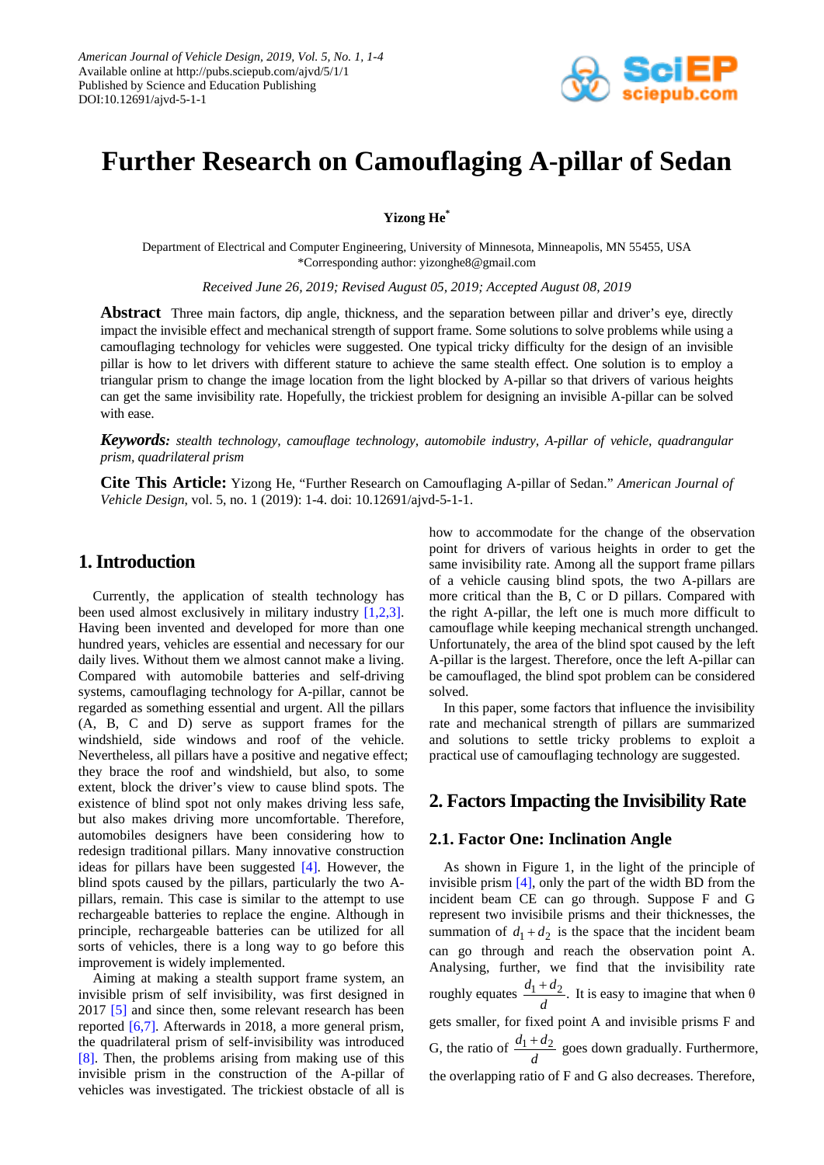

# **Further Research on Camouflaging A-pillar of Sedan**

**Yizong He\***

Department of Electrical and Computer Engineering, University of Minnesota, Minneapolis, MN 55455, USA \*Corresponding author: yizonghe8@gmail.com

*Received June 26, 2019; Revised August 05, 2019; Accepted August 08, 2019*

**Abstract** Three main factors, dip angle, thickness, and the separation between pillar and driver's eye, directly impact the invisible effect and mechanical strength of support frame. Some solutions to solve problems while using a camouflaging technology for vehicles were suggested. One typical tricky difficulty for the design of an invisible pillar is how to let drivers with different stature to achieve the same stealth effect. One solution is to employ a triangular prism to change the image location from the light blocked by A-pillar so that drivers of various heights can get the same invisibility rate. Hopefully, the trickiest problem for designing an invisible A-pillar can be solved with ease.

*Keywords: stealth technology, camouflage technology, automobile industry, A-pillar of vehicle, quadrangular prism, quadrilateral prism*

**Cite This Article:** Yizong He, "Further Research on Camouflaging A-pillar of Sedan." *American Journal of Vehicle Design*, vol. 5, no. 1 (2019): 1-4. doi: 10.12691/ajvd-5-1-1.

### **1. Introduction**

Currently, the application of stealth technology has been used almost exclusively in military industry [1,2,3]. Having been invented and developed for more than one hundred years, vehicles are essential and necessary for our daily lives. Without them we almost cannot make a living. Compared with automobile batteries and self-driving systems, camouflaging technology for A-pillar, cannot be regarded as something essential and urgent. All the pillars (A, B, C and D) serve as support frames for the windshield, side windows and roof of the vehicle. Nevertheless, all pillars have a positive and negative effect; they brace the roof and windshield, but also, to some extent, block the driver's view to cause blind spots. The existence of blind spot not only makes driving less safe, but also makes driving more uncomfortable. Therefore, automobiles designers have been considering how to redesign traditional pillars. Many innovative construction ideas for pillars have been suggested [4]. However, the blind spots caused by the pillars, particularly the two Apillars, remain. This case is similar to the attempt to use rechargeable batteries to replace the engine. Although in principle, rechargeable batteries can be utilized for all sorts of vehicles, there is a long way to go before this improvement is widely implemented.

Aiming at making a stealth support frame system, an invisible prism of self invisibility, was first designed in 2017 [5] and since then, some relevant research has been reported [6,7]. Afterwards in 2018, a more general prism, the quadrilateral prism of self-invisibility was introduced [8]. Then, the problems arising from making use of this invisible prism in the construction of the A-pillar of vehicles was investigated. The trickiest obstacle of all is how to accommodate for the change of the observation point for drivers of various heights in order to get the same invisibility rate. Among all the support frame pillars of a vehicle causing blind spots, the two A-pillars are more critical than the B, C or D pillars. Compared with the right A-pillar, the left one is much more difficult to camouflage while keeping mechanical strength unchanged. Unfortunately, the area of the blind spot caused by the left A-pillar is the largest. Therefore, once the left A-pillar can be camouflaged, the blind spot problem can be considered solved.

In this paper, some factors that influence the invisibility rate and mechanical strength of pillars are summarized and solutions to settle tricky problems to exploit a practical use of camouflaging technology are suggested.

### **2. Factors Impacting the Invisibility Rate**

### **2.1. Factor One: Inclination Angle**

As shown in Figure 1, in the light of the principle of invisible prism [4], only the part of the width BD from the incident beam CE can go through. Suppose F and G represent two invisibile prisms and their thicknesses, the summation of  $d_1 + d_2$  is the space that the incident beam can go through and reach the observation point A. Analysing, further, we find that the invisibility rate roughly equates  $\frac{d_1 + d_2}{d}$ . It is easy to imagine that when θ gets smaller, for fixed point A and invisible prisms F and G, the ratio of  $\frac{d_1 + d_2}{d}$  goes down gradually. Furthermore, the overlapping ratio of F and G also decreases. Therefore,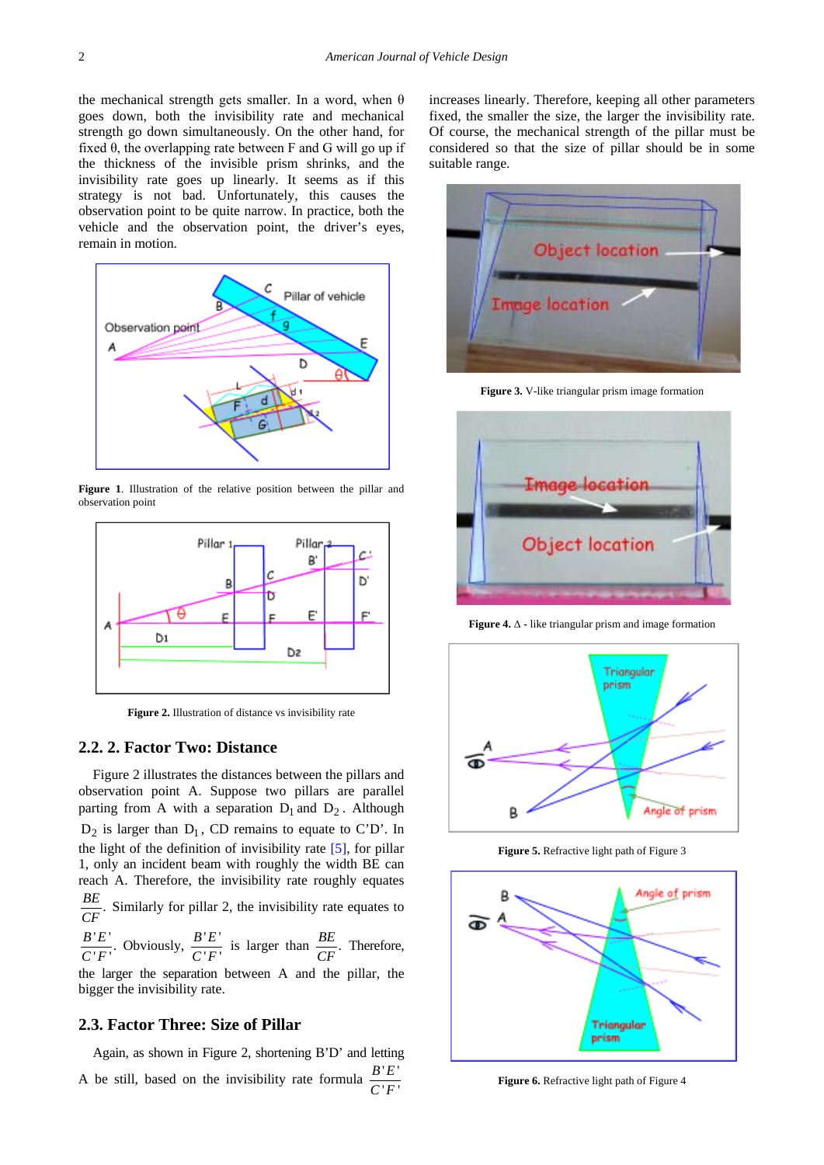the mechanical strength gets smaller. In a word, when  $\theta$ goes down, both the invisibility rate and mechanical strength go down simultaneously. On the other hand, for fixed  $\theta$ , the overlapping rate between F and G will go up if the thickness of the invisible prism shrinks, and the invisibility rate goes up linearly. It seems as if this strategy is not bad. Unfortunately, this causes the observation point to be quite narrow. In practice, both the vehicle and the observation point, the driver's eyes, remain in motion.



**Figure 1**. Illustration of the relative position between the pillar and observation point



**Figure 2.** Illustration of distance vs invisibility rate

#### **2.2. 2. Factor Two: Distance**

Figure 2 illustrates the distances between the pillars and observation point A. Suppose two pillars are parallel parting from A with a separation  $D_1$  and  $D_2$ . Although  $D_2$  is larger than  $D_1$ , CD remains to equate to C'D'. In the light of the definition of invisibility rate [5], for pillar 1, only an incident beam with roughly the width BE can reach A. Therefore, the invisibility rate roughly equates  $\frac{BE}{CF}$ . Similarly for pillar 2, the invisibility rate equates to

 $\frac{B^{\dagger}E^{\dagger}}{C^{\dagger}F^{\dagger}}$ . Obviously,  $\frac{B^{\dagger}E^{\dagger}}{C^{\dagger}F^{\dagger}}$  $\frac{B'E'}{C'F'}$  is larger than  $\frac{BE}{CF}$ . Therefore,

the larger the separation between A and the pillar, the bigger the invisibility rate.

#### **2.3. Factor Three: Size of Pillar**

Again, as shown in Figure 2, shortening B'D' and letting A be still, based on the invisibility rate formula  $\frac{B'E'}{C'F'}$ *B E C F*

increases linearly. Therefore, keeping all other parameters fixed, the smaller the size, the larger the invisibility rate. Of course, the mechanical strength of the pillar must be considered so that the size of pillar should be in some suitable range.



**Figure 3.** V-like triangular prism image formation



**Figure 4.** Δ **-** like triangular prism and image formation



**Figure 5.** Refractive light path of Figure 3



**Figure 6.** Refractive light path of Figure 4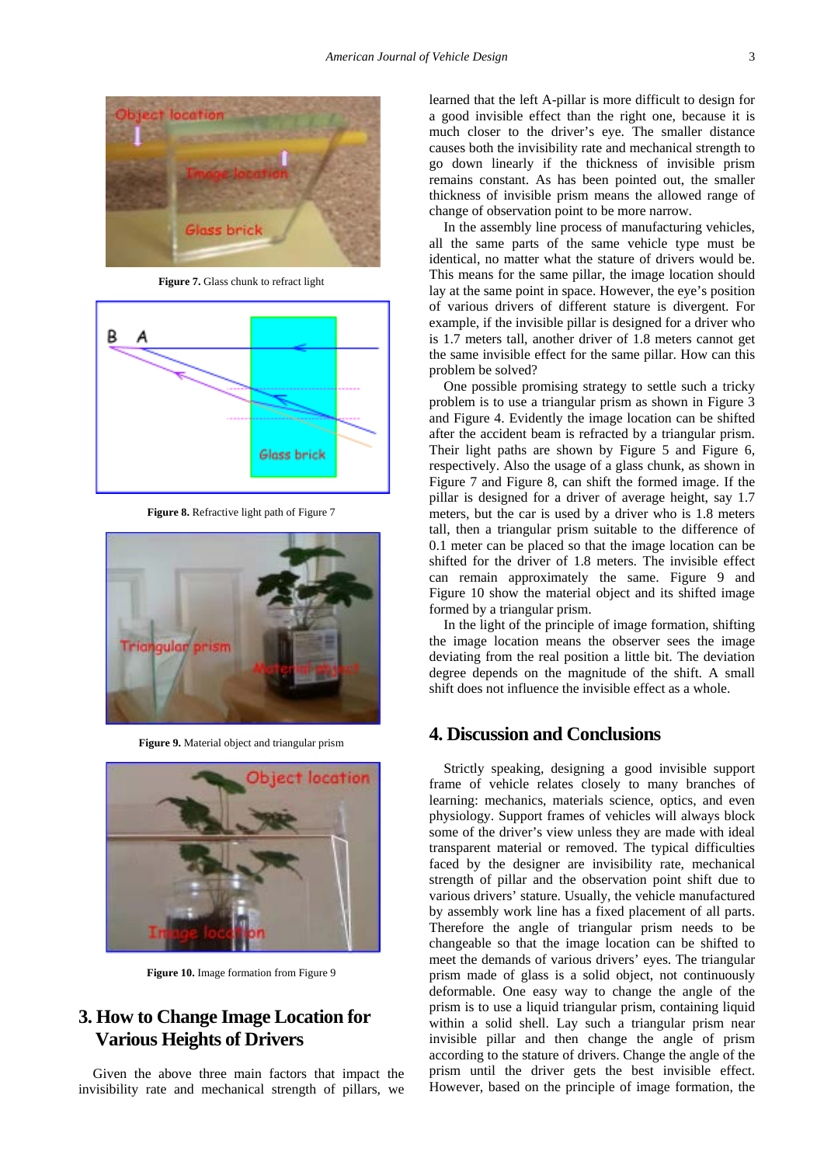

**Figure 7.** Glass chunk to refract light



**Figure 8.** Refractive light path of Figure 7



**Figure 9.** Material object and triangular prism



**Figure 10.** Image formation from Figure 9

# **3. How to Change Image Location for Various Heights of Drivers**

Given the above three main factors that impact the invisibility rate and mechanical strength of pillars, we learned that the left A-pillar is more difficult to design for a good invisible effect than the right one, because it is much closer to the driver's eye. The smaller distance causes both the invisibility rate and mechanical strength to go down linearly if the thickness of invisible prism remains constant. As has been pointed out, the smaller thickness of invisible prism means the allowed range of change of observation point to be more narrow.

In the assembly line process of manufacturing vehicles, all the same parts of the same vehicle type must be identical, no matter what the stature of drivers would be. This means for the same pillar, the image location should lay at the same point in space. However, the eye's position of various drivers of different stature is divergent. For example, if the invisible pillar is designed for a driver who is 1.7 meters tall, another driver of 1.8 meters cannot get the same invisible effect for the same pillar. How can this problem be solved?

One possible promising strategy to settle such a tricky problem is to use a triangular prism as shown in Figure 3 and Figure 4. Evidently the image location can be shifted after the accident beam is refracted by a triangular prism. Their light paths are shown by Figure 5 and Figure 6, respectively. Also the usage of a glass chunk, as shown in Figure 7 and Figure 8, can shift the formed image. If the pillar is designed for a driver of average height, say 1.7 meters, but the car is used by a driver who is 1.8 meters tall, then a triangular prism suitable to the difference of 0.1 meter can be placed so that the image location can be shifted for the driver of 1.8 meters. The invisible effect can remain approximately the same. Figure 9 and Figure 10 show the material object and its shifted image formed by a triangular prism.

In the light of the principle of image formation, shifting the image location means the observer sees the image deviating from the real position a little bit. The deviation degree depends on the magnitude of the shift. A small shift does not influence the invisible effect as a whole.

## **4. Discussion and Conclusions**

Strictly speaking, designing a good invisible support frame of vehicle relates closely to many branches of learning: mechanics, materials science, optics, and even physiology. Support frames of vehicles will always block some of the driver's view unless they are made with ideal transparent material or removed. The typical difficulties faced by the designer are invisibility rate, mechanical strength of pillar and the observation point shift due to various drivers' stature. Usually, the vehicle manufactured by assembly work line has a fixed placement of all parts. Therefore the angle of triangular prism needs to be changeable so that the image location can be shifted to meet the demands of various drivers' eyes. The triangular prism made of glass is a solid object, not continuously deformable. One easy way to change the angle of the prism is to use a liquid triangular prism, containing liquid within a solid shell. Lay such a triangular prism near invisible pillar and then change the angle of prism according to the stature of drivers. Change the angle of the prism until the driver gets the best invisible effect. However, based on the principle of image formation, the